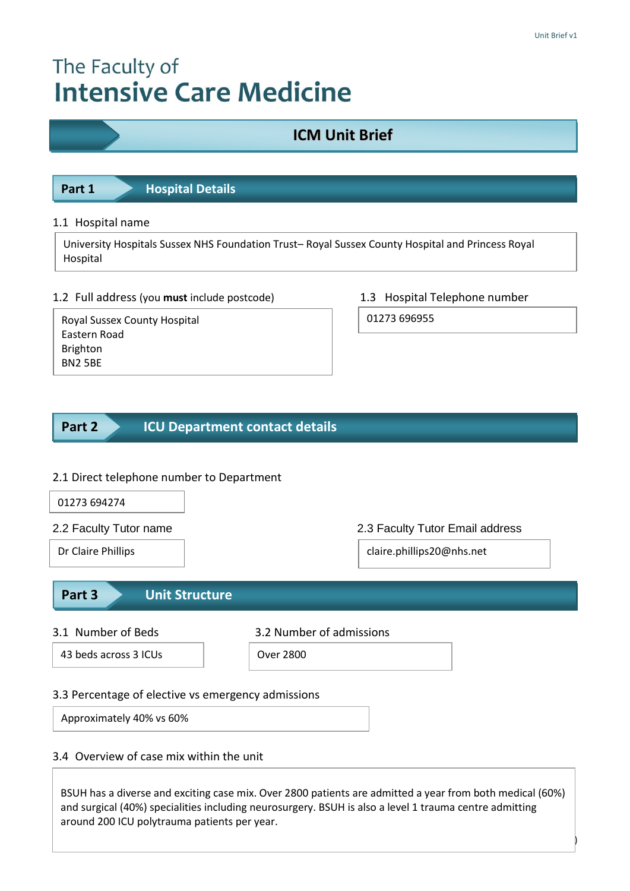# The Faculty of **Intensive Care Medicine**

# **ICM Unit Brief**

**Part 1 Hospital Details** 

## 1.1 Hospital name

University Hospitals Sussex NHS Foundation Trust– Royal Sussex County Hospital and Princess Royal Hospital

# 1.2 Full address (you **must** include postcode) 1.3 Hospital Telephone number

Royal Sussex County Hospital Eastern Road Brighton BN2 5BE

01273 696955

#### **ICU Department contact details Part 2**

# 2.1 Direct telephone number to Department

| 01273 694274                                                                   |                                                                                                                                                                                                                    |  |  |
|--------------------------------------------------------------------------------|--------------------------------------------------------------------------------------------------------------------------------------------------------------------------------------------------------------------|--|--|
| 2.2 Faculty Tutor name                                                         | 2.3 Faculty Tutor Email address                                                                                                                                                                                    |  |  |
| Dr Claire Phillips                                                             | claire.phillips20@nhs.net                                                                                                                                                                                          |  |  |
| <b>Unit Structure</b><br>Part 3                                                |                                                                                                                                                                                                                    |  |  |
| 3.1 Number of Beds                                                             | 3.2 Number of admissions                                                                                                                                                                                           |  |  |
| 43 beds across 3 ICUs                                                          | Over 2800                                                                                                                                                                                                          |  |  |
| 3.3 Percentage of elective vs emergency admissions<br>Approximately 40% vs 60% |                                                                                                                                                                                                                    |  |  |
| 3.4 Overview of case mix within the unit                                       |                                                                                                                                                                                                                    |  |  |
| around 200 ICU polytrauma patients per year.                                   | BSUH has a diverse and exciting case mix. Over 2800 patients are admitted a year from both medical (60%)<br>and surgical (40%) specialities including neurosurgery. BSUH is also a level 1 trauma centre admitting |  |  |

Page **1** (of 5)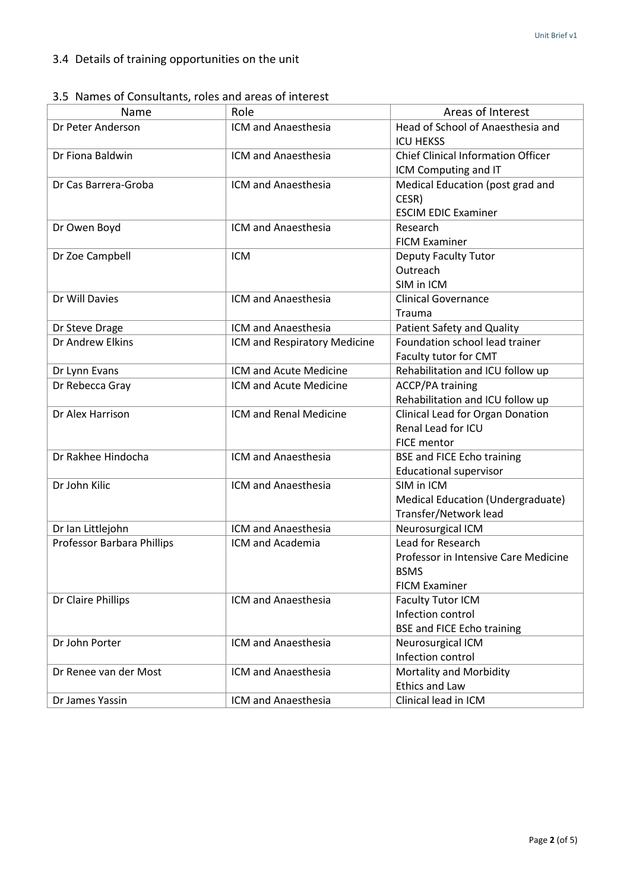|  |  | 3.5 Names of Consultants, roles and areas of interest |  |  |  |
|--|--|-------------------------------------------------------|--|--|--|
|--|--|-------------------------------------------------------|--|--|--|

| Name                       | Role                         | Areas of Interest                                                                                |  |
|----------------------------|------------------------------|--------------------------------------------------------------------------------------------------|--|
| Dr Peter Anderson          | ICM and Anaesthesia          | Head of School of Anaesthesia and<br><b>ICU HEKSS</b>                                            |  |
| Dr Fiona Baldwin           | ICM and Anaesthesia          | <b>Chief Clinical Information Officer</b><br>ICM Computing and IT                                |  |
| Dr Cas Barrera-Groba       | <b>ICM and Anaesthesia</b>   | Medical Education (post grad and<br>CESR)<br><b>ESCIM EDIC Examiner</b>                          |  |
| Dr Owen Boyd               | ICM and Anaesthesia          | Research<br><b>FICM Examiner</b>                                                                 |  |
| Dr Zoe Campbell            | <b>ICM</b>                   | <b>Deputy Faculty Tutor</b><br>Outreach<br>SIM in ICM                                            |  |
| Dr Will Davies             | ICM and Anaesthesia          | <b>Clinical Governance</b><br>Trauma                                                             |  |
| Dr Steve Drage             | ICM and Anaesthesia          | <b>Patient Safety and Quality</b>                                                                |  |
| Dr Andrew Elkins           | ICM and Respiratory Medicine | Foundation school lead trainer<br>Faculty tutor for CMT                                          |  |
| Dr Lynn Evans              | ICM and Acute Medicine       | Rehabilitation and ICU follow up                                                                 |  |
| Dr Rebecca Gray            | ICM and Acute Medicine       | <b>ACCP/PA training</b><br>Rehabilitation and ICU follow up                                      |  |
| Dr Alex Harrison           | ICM and Renal Medicine       | Clinical Lead for Organ Donation<br>Renal Lead for ICU<br><b>FICE mentor</b>                     |  |
| Dr Rakhee Hindocha         | ICM and Anaesthesia          | <b>BSE and FICE Echo training</b><br><b>Educational supervisor</b>                               |  |
| Dr John Kilic              | ICM and Anaesthesia          | SIM in ICM<br>Medical Education (Undergraduate)<br>Transfer/Network lead                         |  |
| Dr Ian Littlejohn          | ICM and Anaesthesia          | Neurosurgical ICM                                                                                |  |
| Professor Barbara Phillips | <b>ICM and Academia</b>      | Lead for Research<br>Professor in Intensive Care Medicine<br><b>BSMS</b><br><b>FICM Examiner</b> |  |
| Dr Claire Phillips         | ICM and Anaesthesia          | <b>Faculty Tutor ICM</b><br>Infection control<br><b>BSE and FICE Echo training</b>               |  |
| Dr John Porter             | ICM and Anaesthesia          | Neurosurgical ICM<br>Infection control                                                           |  |
| Dr Renee van der Most      | ICM and Anaesthesia          | Mortality and Morbidity<br><b>Ethics and Law</b>                                                 |  |
| Dr James Yassin            | ICM and Anaesthesia          | Clinical lead in ICM                                                                             |  |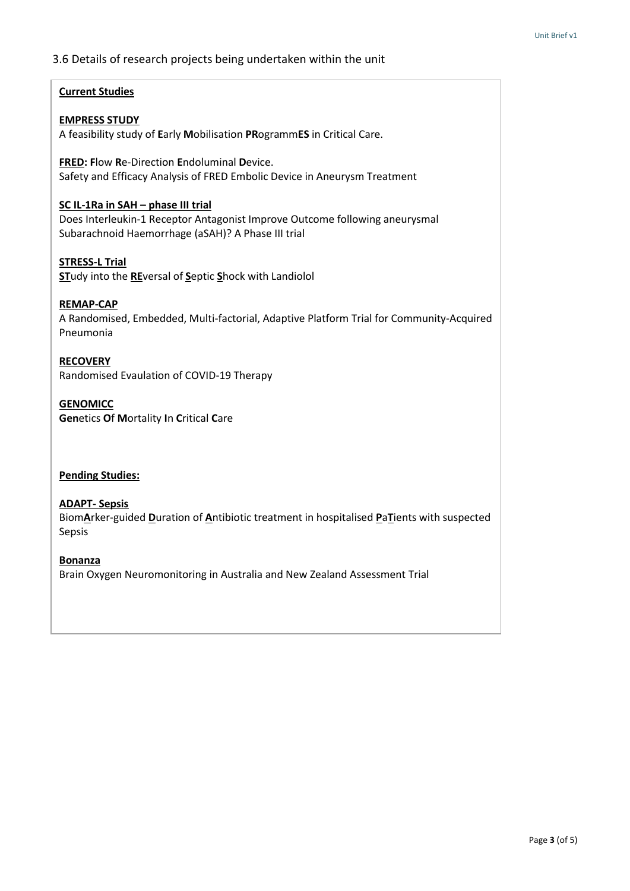### 3.6 Details of research projects being undertaken within the unit

#### **Current Studies**

#### **EMPRESS STUDY**

A feasibility study of **E**arly **M**obilisation **PR**ogramm**ES** in Critical Care.

**FRED: F**low **R**e-Direction **E**ndoluminal **D**evice. Safety and Efficacy Analysis of FRED Embolic Device in Aneurysm Treatment

#### **SC IL-1Ra in SAH – phase III trial**

Does Interleukin-1 Receptor Antagonist Improve Outcome following aneurysmal Subarachnoid Haemorrhage (aSAH)? A Phase III trial

#### **STRESS-L Trial**

**ST**udy into the **RE**versal of **S**eptic **S**hock with Landiolol

#### **REMAP-CAP**

A Randomised, Embedded, Multi-factorial, Adaptive Platform Trial for Community-Acquired Pneumonia

**RECOVERY**

Randomised Evaulation of COVID-19 Therapy

#### **GENOMICC**

**Gen**etics **O**f **M**ortality **I**n **C**ritical **C**are

#### **Pending Studies:**

#### **ADAPT- Sepsis**

Biom**A**rker-guided **D**uration of **A**ntibiotic treatment in hospitalised **P**a**T**ients with suspected Sepsis

#### **Bonanza**

Brain Oxygen Neuromonitoring in Australia and New Zealand Assessment Trial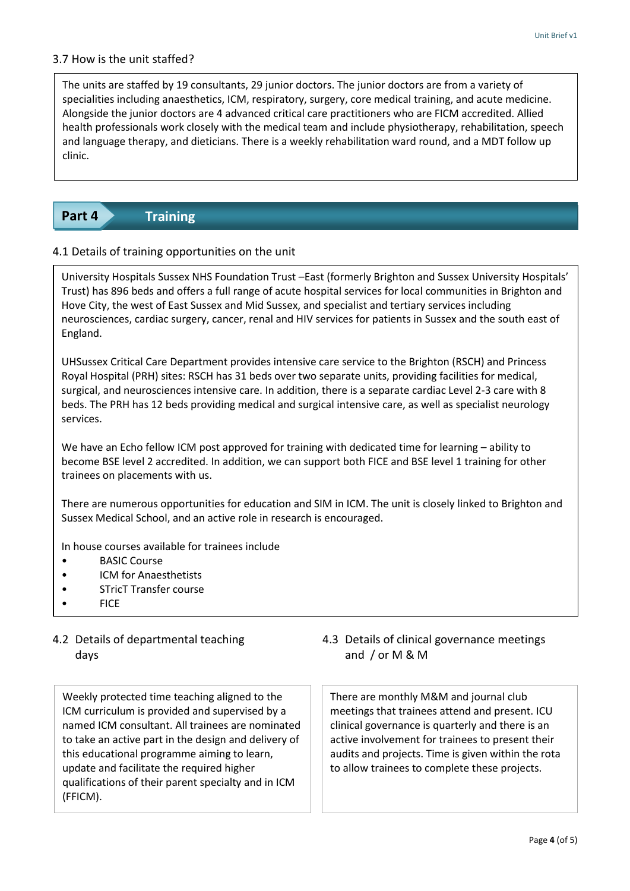### 3.7 How is the unit staffed?

The units are staffed by 19 consultants, 29 junior doctors. The junior doctors are from a variety of specialities including anaesthetics, ICM, respiratory, surgery, core medical training, and acute medicine. Alongside the junior doctors are 4 advanced critical care practitioners who are FICM accredited. Allied health professionals work closely with the medical team and include physiotherapy, rehabilitation, speech and language therapy, and dieticians. There is a weekly rehabilitation ward round, and a MDT follow up clinic.

#### **Training Part 4**

### 4.1 Details of training opportunities on the unit

University Hospitals Sussex NHS Foundation Trust –East (formerly Brighton and Sussex University Hospitals' Trust) has 896 beds and offers a full range of acute hospital services for local communities in Brighton and Hove City, the west of East Sussex and Mid Sussex, and specialist and tertiary services including neurosciences, cardiac surgery, cancer, renal and HIV services for patients in Sussex and the south east of England.

UHSussex Critical Care Department provides intensive care service to the Brighton (RSCH) and Princess Royal Hospital (PRH) sites: RSCH has 31 beds over two separate units, providing facilities for medical, surgical, and neurosciences intensive care. In addition, there is a separate cardiac Level 2-3 care with 8 beds. The PRH has 12 beds providing medical and surgical intensive care, as well as specialist neurology services.

We have an Echo fellow ICM post approved for training with dedicated time for learning – ability to become BSE level 2 accredited. In addition, we can support both FICE and BSE level 1 training for other trainees on placements with us.

There are numerous opportunities for education and SIM in ICM. The unit is closely linked to Brighton and Sussex Medical School, and an active role in research is encouraged.

In house courses available for trainees include

• BSE training for the Echo ICM fellow

- BASIC Course
- ICM for Anaesthetists
- STricT Transfer course
- FICE

# days days and  $\int$  or M & M 4.2 Details of departmental teaching

Weekly protected time teaching aligned to the ICM curriculum is provided and supervised by a named ICM consultant. All trainees are nominated to take an active part in the design and delivery of this educational programme aiming to learn, update and facilitate the required higher qualifications of their parent specialty and in ICM (FFICM).

4.3 Details of clinical governance meetings

There are monthly M&M and journal club meetings that trainees attend and present. ICU clinical governance is quarterly and there is an active involvement for trainees to present their audits and projects. Time is given within the rota to allow trainees to complete these projects.